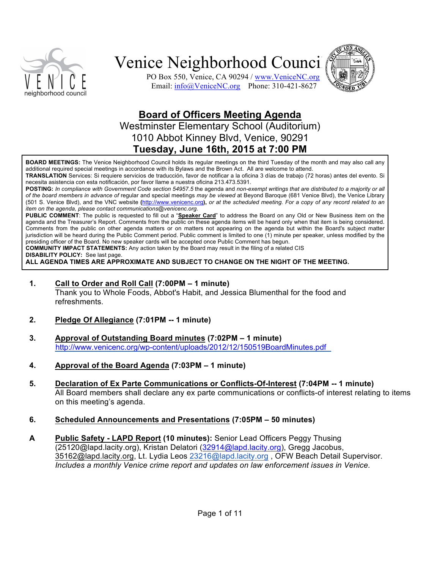



PO Box 550, Venice, CA 90294 / www.VeniceNC.org Email: info@VeniceNC.org Phone: 310-421-8627

### **Board of Officers Meeting Agenda**

Westminster Elementary School (Auditorium) 1010 Abbot Kinney Blvd, Venice, 90291 **Tuesday,&June&16th,&2015&at&7:00&PM**

BOARD MEETINGS: The Venice Neighborhood Council holds its regular meetings on the third Tuesday of the month and may also call any additional required special meetings in accordance with its Bylaws and the Brown Act. All are welcome to attend.

**TRANSLATION** Services: Si requiere servicios de traducción, favor de notificar a la oficina 3 días de trabajo (72 horas) antes del evento. Si necesita asistencia con esta notificación, por favor llame a nuestra oficina 213.473.5391.

POSTING: In compliance with Government Code section 54957.5 the agenda and non-exempt writings that are distributed to a majority or all of the board members in advance of regular and special meetings *may be viewed* at Beyond Baroque (681 Venice Blvd), the Venice Library (501 S. Venice Blvd), and the VNC website (*<http://www.venicenc.org>*), or at the scheduled meeting. For a copy of any record related to an *item on the agenda, please contact communications@venicenc.org.* 

PUBLIC COMMENT: The public is requested to fill out a "Speaker Card" to address the Board on any Old or New Business item on the agenda and the Treasurer's Report. Comments from the public on these agenda items will be heard only when that item is being considered. Comments from the public on other agenda matters or on matters not appearing on the agenda but within the Board's subject matter jurisdiction will be heard during the Public Comment period. Public comment is limited to one (1) minute per speaker, unless modified by the presiding officer of the Board. No new speaker cards will be accepted once Public Comment has begun.

**COMMUNITY IMPACT STATEMENTS:** Any action taken by the Board may result in the filing of a related CIS

**DISABILITY POLICY:** See last page.

ALL AGENDA TIMES ARE APPROXIMATE AND SUBJECT TO CHANGE ON THE NIGHT OF THE MEETING.

**1. Call to Order and Roll Call (7:00PM – 1 minute)** 

Thank you to Whole Foods, Abbot's Habit, and Jessica Blumenthal for the food and refreshments.

- **2.** Pledge Of Allegiance (7:01PM -- 1 minute)
- **3.&&&&& Approval&of&Outstanding&Board&minutes (7:02PM&– 1&minute)** <http://www.venicenc.org/wp-content/uploads/2012/12/150519BoardMinutes.pdf>
- **4.&&&&& Approval&of&the&Board&Agenda (7:03PM&– 1&minute)**
- **5.** Declaration of Ex Parte Communications or Conflicts-Of-Interest (7:04PM -- 1 minute) All Board members shall declare any ex parte communications or conflicts-of interest relating to items on this meeting's agenda.
- **6.&&&&& Scheduled&Announcements&and&Presentations (7:05PM&– 50&minutes)**
- **A** Public Safety LAPD Report (10 minutes): Senior Lead Officers Peggy Thusing (25120@lapd.lacity.org), Kristan Delatori (32914@lapd.lacity.org), Gregg Jacobus, 35162@lapd.lacity.org, Lt. Lydia Leos 23216@lapd.lacity.org , OFW Beach Detail Supervisor. *Includes a monthly Venice crime report and updates on law enforcement issues in Venice.*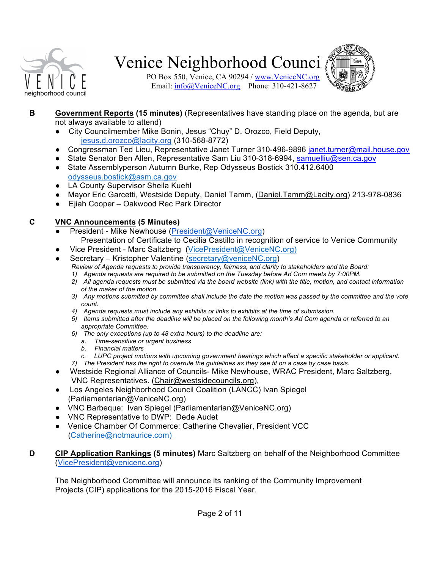

PO Box 550, Venice, CA 90294 / www.VeniceNC.org Email: info@VeniceNC.org Phone: 310-421-8627



- **B Government Reports (15 minutes)** (Representatives have standing place on the agenda, but are not always available to attend)
	- City Councilmember Mike Bonin, Jesus "Chuy" D. Orozco, Field Deputy,  $jesus.d.$ orozco@lacity.org (310-568-8772)
	- Congressman Ted Lieu, Representative Janet Turner 310-496-9896 janet.turner@mail.house.gov
	- State Senator Ben Allen, Representative Sam Liu 310-318-6994, samuelliu@sen.ca.gov
	- State Assemblyperson Autumn Burke, Rep Odysseus Bostick 310.412.6400 odysseus.bostick@asm.ca.gov
	- LA County Supervisor Sheila Kuehl
	- Mayor Eric Garcetti, Westside Deputy, Daniel Tamm, (Daniel.Tamm@Lacity.org) 213-978-0836
	- Ejiah Cooper Oakwood Rec Park Director

### **C&&&&& VNC&Announcements (5&Minutes)**

- President Mike Newhouse (President@VeniceNC.org) Presentation of Certificate to Cecilia Castillo in recognition of service to Venice Community
- Vice President Marc Saltzberg (VicePresident@VeniceNC.org)
- Secretary Kristopher Valentine (secretary@veniceNC.org) *Review of Agenda requests to provide transparency, fairness, and clarity to stakeholders and the Board:* 
	- 1) Agenda requests are required to be submitted on the Tuesday before Ad Com meets by 7:00PM.
	- 2) All agenda requests must be submitted via the board website (link) with the title, motion, and contact information  $of$  the maker of the motion.
	- 3) Any motions submitted by committee shall include the date the motion was passed by the committee and the vote *count.*
	- 4) Agenda requests must include any exhibits or links to exhibits at the time of submission.
	- 5) Items submitted after the deadline will be placed on the following month's Ad Com agenda or referred to an *appropriate#Committee.*
	- 6) The only exceptions (up to 48 extra hours) to the deadline are:
		- *a. Time:sensitive#or#urgent#business*
		- *b. Financial#matters*
		- *c. LUPC project motions with upcoming government hearings which affect a specific stakeholder or applicant.*
	- *7*) The President has the right to overrule the guidelines as they see fit on a case by case basis.
- Westside Regional Alliance of Councils- Mike Newhouse, WRAC President, Marc Saltzberg, VNC Representatives. (Chair@westsidecouncils.org),
- Los Angeles Neighborhood Council Coalition (LANCC) Ivan Spiegel (Parliamentarian@VeniceNC.org)
- VNC Barbeque: Ivan Spiegel (Parliamentarian@VeniceNC.org)
- VNC Representative to DWP: Dede Audet
- Venice Chamber Of Commerce: Catherine Chevalier, President VCC (Catherine@notmaurice.com)
- **D CIP Application Rankings (5 minutes)** Marc Saltzberg on behalf of the Neighborhood Committee (VicePresident@venicenc.org)

The Neighborhood Committee will announce its ranking of the Community Improvement Projects (CIP) applications for the 2015-2016 Fiscal Year.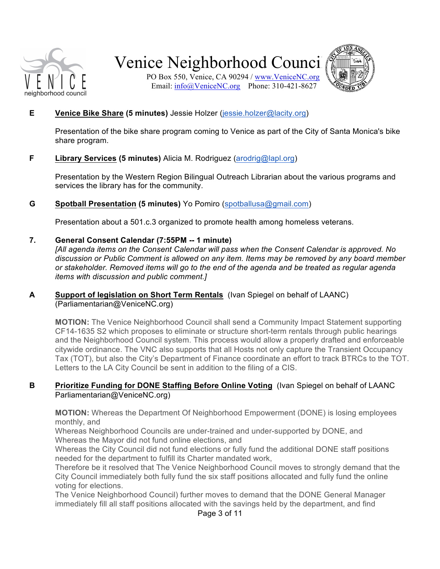

PO Box 550, Venice, CA 90294 / www.VeniceNC.org Email: info@VeniceNC.org Phone: 310-421-8627



#### **E Venice Bike Share (5 minutes)** Jessie Holzer (jessie.holzer@lacity.org)

Presentation of the bike share program coming to Venice as part of the City of Santa Monica's bike share program.

#### **F Library Services (5 minutes)** Alicia M. Rodriguez (arodrig@lapl.org)

Presentation by the Western Region Bilingual Outreach Librarian about the various programs and services the library has for the community.

#### **G Spotball Presentation (5 minutes)** Yo Pomiro (spotballusa@gmail.com)

Presentation about a 501.c.3 organized to promote health among homeless veterans.

#### **7.** General Consent Calendar (7:55PM -- 1 minute)

*[All agenda items on the Consent Calendar will pass when the Consent Calendar is approved. No* discussion or Public Comment is allowed on any item. Items may be removed by any board member *or#stakeholder.#Removed#items#will#go#to#the#end#of#the#agenda#and#be#treated#as#regular#agenda# items with discussion and public comment.]* 

#### **A Support of legislation on Short Term Rentals** (Ivan Spiegel on behalf of LAANC) (Parliamentarian@VeniceNC.org)

**MOTION:** The Venice Neighborhood Council shall send a Community Impact Statement supporting CF14-1635 S2 which proposes to eliminate or structure short-term rentals through public hearings and the Neighborhood Council system. This process would allow a properly drafted and enforceable citywide ordinance. The VNC also supports that all Hosts not only capture the Transient Occupancy Tax (TOT), but also the City's Department of Finance coordinate an effort to track BTRCs to the TOT. Letters to the LA City Council be sent in addition to the filing of a CIS.

#### **B Prioritize Funding for DONE Staffing Before Online Voting** (Ivan Spiegel on behalf of LAANC Parliamentarian@VeniceNC.org)

**MOTION:** Whereas the Department Of Neighborhood Empowerment (DONE) is losing employees monthly, and

Whereas Neighborhood Councils are under-trained and under-supported by DONE, and Whereas the Mayor did not fund online elections, and

Whereas the City Council did not fund elections or fully fund the additional DONE staff positions needed for the department to fulfill its Charter mandated work,

Therefore be it resolved that The Venice Neighborhood Council moves to strongly demand that the City Council immediately both fully fund the six staff positions allocated and fully fund the online voting for elections.

The Venice Neighborhood Council) further moves to demand that the DONE General Manager immediately fill all staff positions allocated with the savings held by the department, and find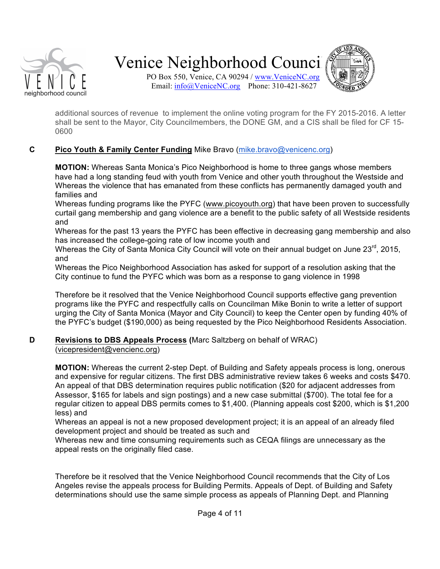

PO Box 550, Venice, CA 90294 / www.VeniceNC.org Email: info@VeniceNC.org Phone: 310-421-8627



additional sources of revenue to implement the online voting program for the FY 2015-2016. A letter shall be sent to the Mayor, City Councilmembers, the DONE GM, and a CIS shall be filed for CF 15-0600

### **C Pico Youth & Family Center Funding** Mike Bravo (mike.bravo@venicenc.org)

**MOTION:** Whereas Santa Monica's Pico Neighborhood is home to three gangs whose members have had a long standing feud with youth from Venice and other youth throughout the Westside and Whereas the violence that has emanated from these conflicts has permanently damaged youth and families and

Whereas funding programs like the PYFC (www.picoyouth.org) that have been proven to successfully curtail gang membership and gang violence are a benefit to the public safety of all Westside residents and!

Whereas for the past 13 years the PYFC has been effective in decreasing gang membership and also has increased the college-going rate of low income youth and

Whereas the City of Santa Monica City Council will vote on their annual budget on June 23rd, 2015, and

Whereas the Pico Neighborhood Association has asked for support of a resolution asking that the City continue to fund the PYFC which was born as a response to gang violence in 1998

Therefore be it resolved that the Venice Neighborhood Council supports effective gang prevention programs like the PYFC and respectfully calls on Councilman Mike Bonin to write a letter of support urging the City of Santa Monica (Mayor and City Council) to keep the Center open by funding 40% of the PYFC's budget (\$190,000) as being requested by the Pico Neighborhood Residents Association.

### **D Revisions to DBS Appeals Process (Marc Saltzberg on behalf of WRAC)** (vicepresident@vencienc.org)

**MOTION:** Whereas the current 2-step Dept. of Building and Safety appeals process is long, onerous and expensive for regular citizens. The first DBS administrative review takes 6 weeks and costs \$470. An appeal of that DBS determination requires public notification (\$20 for adjacent addresses from Assessor, \$165 for labels and sign postings) and a new case submittal (\$700). The total fee for a regular citizen to appeal DBS permits comes to \$1,400. (Planning appeals cost \$200, which is \$1,200 less) and

Whereas an appeal is not a new proposed development project; it is an appeal of an already filed development project and should be treated as such and

Whereas new and time consuming requirements such as CEQA filings are unnecessary as the appeal rests on the originally filed case.

Therefore be it resolved that the Venice Neighborhood Council recommends that the City of Los Angeles revise the appeals process for Building Permits. Appeals of Dept. of Building and Safety determinations should use the same simple process as appeals of Planning Dept. and Planning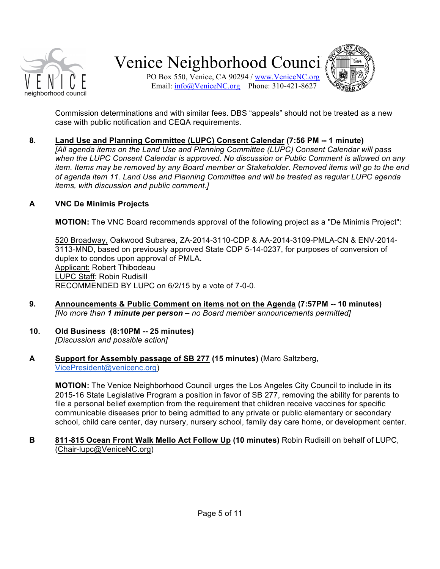

PO Box 550, Venice, CA 90294 / www.VeniceNC.org Email: info@VeniceNC.org Phone: 310-421-8627



Commission determinations and with similar fees. DBS "appeals" should not be treated as a new case with public notification and CEQA requirements.

8. Land Use and Planning Committee (LUPC) Consent Calendar (7:56 PM -- 1 minute) *[All agenda items on the Land Use and Planning Committee (LUPC) Consent Calendar will pass* when the LUPC Consent Calendar is approved. No discussion or Public Comment is allowed on any *item. Items may be removed by any Board member or Stakeholder. Removed items will go to the end* 

#### **A VNC&De&Minimis&Projects**

*items, with discussion and public comment.]* 

**MOTION:** The VNC Board recommends approval of the following project as a "De Minimis Project":

of agenda item 11. Land Use and Planning Committee and will be treated as regular LUPC agenda

520 Broadway, Oakwood Subarea, ZA-2014-3110-CDP & AA-2014-3109-PMLA-CN & ENV-2014-3113-MND, based on previously approved State CDP 5-14-0237, for purposes of conversion of duplex to condos upon approval of PMLA. Applicant: Robert Thibodeau LUPC Staff: Robin Rudisill RECOMMENDED BY LUPC on 6/2/15 by a vote of 7-0-0.

- **9. Announcements & Public Comment on items not on the Agenda (7:57PM -- 10 minutes)** *[No more than 1 minute per person – no Board member announcements permitted]*
- **10.** Old Business (8:10PM -- 25 minutes) *[Discussion#and#possible#action]*
- **A Support for Assembly passage of SB 277 (15 minutes)** (Marc Saltzberg, VicePresident@venicenc.org)

**MOTION:** The Venice Neighborhood Council urges the Los Angeles City Council to include in its 2015-16 State Legislative Program a position in favor of SB 277, removing the ability for parents to file a personal belief exemption from the requirement that children receive vaccines for specific communicable diseases prior to being admitted to any private or public elementary or secondary school, child care center, day nursery, nursery school, family day care home, or development center.

**B** 811-815 Ocean Front Walk Mello Act Follow Up (10 minutes) Robin Rudisill on behalf of LUPC, (Chair-lupc@VeniceNC.org)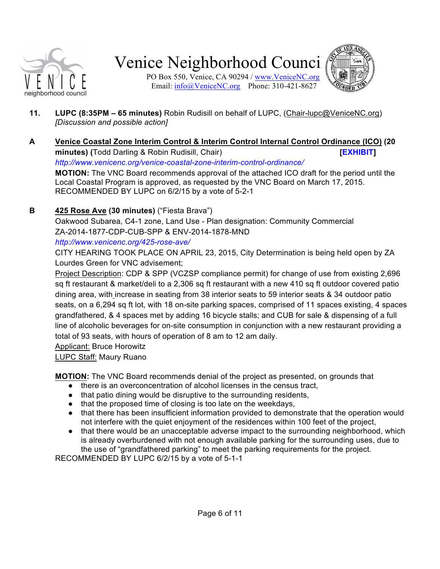

PO Box 550, Venice, CA 90294 / www.VeniceNC.org Email: info@VeniceNC.org Phone: 310-421-8627



- **11. LUPC (8:35PM 65 minutes)** Robin Rudisill on behalf of LUPC, (Chair-lupc@VeniceNC.org) *[Discussion#and#possible#action]*
- **A&&& Venice&Coastal&Zone&Interim&Control&&&Interim&Control&Internal&Control&Ordinance&(ICO) (20& minutes)** (Todd Darling & Robin Rudisill, Chair) **[\[EXHIBIT\]](http://www.venicenc.org/wp-content/uploads/2012/12/draft_Venice_Coastal_Zone_ICO_June_2_2015.pdf) [EXHIBIT]** *[http://www.venicenc.org/venice:coastal:zone:interim:control:ordinance/](http://www.venicenc.org/venice-coastal-zone-interim-control-ordinance/)* **MOTION:** The VNC Board recommends approval of the attached ICO draft for the period until the Local Coastal Program is approved, as requested by the VNC Board on March 17, 2015.

RECOMMENDED BY LUPC on 6/2/15 by a vote of 5-2-1

### **B 425 Rose Ave (30 minutes)** ("Fiesta Brava")

Oakwood Subarea, C4-1 zone, Land Use - Plan designation: Community Commercial ZA-2014-1877-CDP-CUB-SPP & ENV-2014-1878-MND

*[http://www.venicenc.org/425:rose:ave/](http://venicenc.org/425-rose-ave/)*

CITY HEARING TOOK PLACE ON APRIL 23, 2015, City Determination is being held open by ZA Lourdes Green for VNC advisement;

Project Description: CDP & SPP (VCZSP compliance permit) for change of use from existing 2,696 sq ft restaurant & market/deli to a 2,306 sq ft restaurant with a new 410 sq ft outdoor covered patio dining area, with increase in seating from 38 interior seats to 59 interior seats & 34 outdoor patio seats, on a 6,294 sq ft lot, with 18 on-site parking spaces, comprised of 11 spaces existing, 4 spaces grandfathered, & 4 spaces met by adding 16 bicycle stalls; and CUB for sale & dispensing of a full line of alcoholic beverages for on-site consumption in conjunction with a new restaurant providing a total of 93 seats, with hours of operation of 8 am to 12 am daily.

Applicant: Bruce Horowitz

LUPC Staff: Maury Ruano

**MOTION:** The VNC Board recommends denial of the project as presented, on grounds that

- there is an overconcentration of alcohol licenses in the census tract,
- that patio dining would be disruptive to the surrounding residents,
- that the proposed time of closing is too late on the weekdays,
- that there has been insufficient information provided to demonstrate that the operation would not interfere with the quiet enjoyment of the residences within 100 feet of the project,
- that there would be an unacceptable adverse impact to the surrounding neighborhood, which is already overburdened with not enough available parking for the surrounding uses, due to the use of "grandfathered parking" to meet the parking requirements for the project.

RECOMMENDED BY LUPC 6/2/15 by a vote of 5-1-1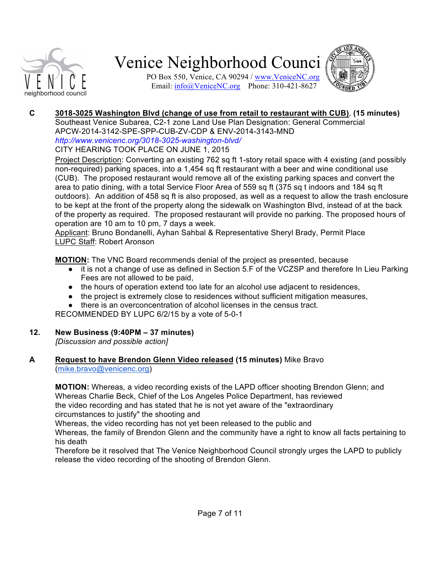





### **C 3018-3025 Washington Blvd (change of use from retail to restaurant with CUB), (15 minutes)**

Southeast Venice Subarea, C2-1 zone Land Use Plan Designation: General Commercial APCW-2014-3142-SPE-SPP-CUB-ZV-CDP & ENV-2014-3143-MND *[http://www.venicenc.org/3018:3025:washington:blvd/](http://venicenc.org/3018-3025-washington-blvd/)* CITY HEARING TOOK PLACE ON JUNE 1, 2015

Project Description: Converting an existing 762 sq ft 1-story retail space with 4 existing (and possibly non-required) parking spaces, into a 1,454 sq ft restaurant with a beer and wine conditional use (CUB). The proposed restaurant would remove all of the existing parking spaces and convert the area to patio dining, with a total Service Floor Area of 559 sq ft (375 sq t indoors and 184 sq ft outdoors). An addition of 458 sq ft is also proposed, as well as a request to allow the trash enclosure to be kept at the front of the property along the sidewalk on Washington Blvd, instead of at the back of the property as required. The proposed restaurant will provide no parking. The proposed hours of operation are 10 am to 10 pm, 7 days a week.

Applicant: Bruno Bondanelli, Ayhan Sahbal & Representative Sheryl Brady, Permit Place LUPC Staff: Robert Aronson

**MOTION:** The VNC Board recommends denial of the project as presented, because

- it is not a change of use as defined in Section 5.F of the VCZSP and therefore In Lieu Parking Fees are not allowed to be paid.
- the hours of operation extend too late for an alcohol use adjacent to residences,
- the project is extremely close to residences without sufficient mitigation measures,
- there is an overconcentration of alcohol licenses in the census tract.

RECOMMENDED BY LUPC 6/2/15 by a vote of 5-0-1

### **12.& New&Business&(9:40PM&– 37&minutes)**

*[Discussion#and#possible#action]*

### **A Request to have Brendon Glenn Video released (15 minutes)** Mike Bravo (mike.bravo@venicenc.org)

**MOTION:** Whereas, a video recording exists of the LAPD officer shooting Brendon Glenn; and Whereas Charlie Beck, Chief of the Los Angeles Police Department, has reviewed the video recording and has stated that he is not yet aware of the "extraordinary" circumstances to justify" the shooting and

Whereas, the video recording has not yet been released to the public and

Whereas, the family of Brendon Glenn and the community have a right to know all facts pertaining to his death

Therefore be it resolved that The Venice Neighborhood Council strongly urges the LAPD to publicly release the video recording of the shooting of Brendon Glenn.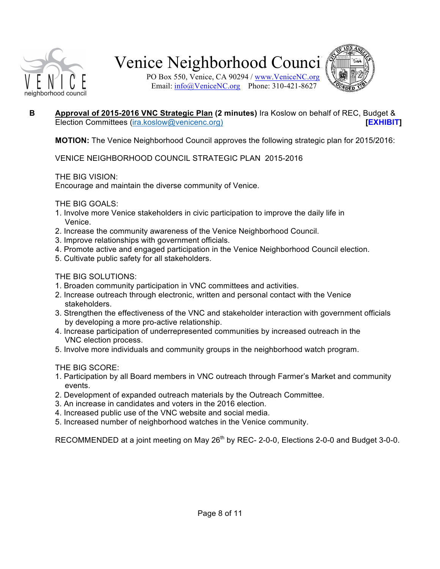

PO Box 550, Venice, CA 90294 / www.VeniceNC.org Email: info@VeniceNC.org Phone: 310-421-8627



### **B Approval of 2015-2016 VNC Strategic Plan (2 minutes)** Ira Koslow on behalf of REC, Budget & Election Committees (ira.koslow@venicenc.org) **[\[EXHIBIT\]](http://www.venicenc.org/wp-content/uploads/2012/12/STRATEGIC-PLAN.2015.2016.pdf) [EXHIBIT]**

**MOTION:** The Venice Neighborhood Council approves the following strategic plan for 2015/2016:

VENICE NEIGHBORHOOD COUNCIL STRATEGIC PLAN 2015-2016

THE BIG VISION:

Encourage and maintain the diverse community of Venice.

THE BIG GOALS:

- 1. Involve more Venice stakeholders in civic participation to improve the daily life in Venice.
- 2. Increase the community awareness of the Venice Neighborhood Council.
- 3. Improve relationships with government officials.
- 4. Promote active and engaged participation in the Venice Neighborhood Council election.
- 5. Cultivate public safety for all stakeholders.

THE BIG SOLUTIONS:

- 1. Broaden community participation in VNC committees and activities.
- 2. Increase outreach through electronic, written and personal contact with the Venice stakeholders.
- 3. Strengthen the effectiveness of the VNC and stakeholder interaction with government officials by developing a more pro-active relationship.
- 4. Increase participation of underrepresented communities by increased outreach in the VNC election process.
- 5. Involve more individuals and community groups in the neighborhood watch program.

THE BIG SCORE:

- 1. Participation by all Board members in VNC outreach through Farmer's Market and community events.
- 2. Development of expanded outreach materials by the Outreach Committee.
- 3. An increase in candidates and voters in the 2016 election.
- 4. Increased public use of the VNC website and social media.
- 5. Increased number of neighborhood watches in the Venice community.

RECOMMENDED at a joint meeting on May 26<sup>th</sup> by REC- 2-0-0, Elections 2-0-0 and Budget 3-0-0.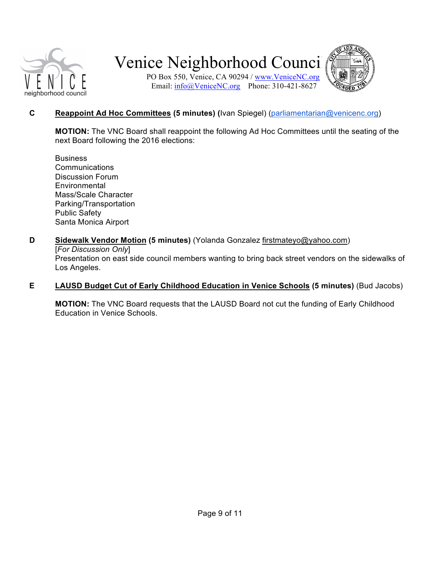

PO Box 550, Venice, CA 90294 / www.VeniceNC.org Email: info@VeniceNC.org Phone: 310-421-8627



### **C Reappoint Ad Hoc Committees (5 minutes) (Ivan Spiegel) (parliamentarian@venicenc.org)**

**MOTION:** The VNC Board shall reappoint the following Ad Hoc Committees until the seating of the next Board following the 2016 elections:

- Business **Communications** Discussion Forum **Environmental** Mass/Scale Character Parking/Transportation Public Safety Santa Monica Airport
- **D** Sidewalk Vendor Motion (5 minutes) (Yolanda Gonzalez firstmateyo@yahoo.com) [For Discussion Only] Presentation on east side council members wanting to bring back street vendors on the sidewalks of Los Angeles.
- **E** LAUSD Budget Cut of Early Childhood Education in Venice Schools (5 minutes) (Bud Jacobs)

**MOTION:** The VNC Board requests that the LAUSD Board not cut the funding of Early Childhood Education in Venice Schools.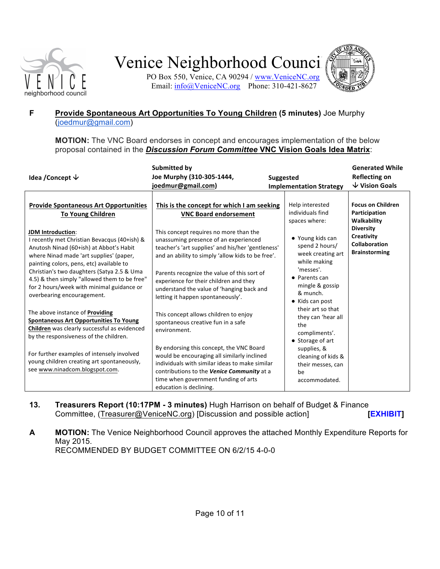

PO Box 550, Venice, CA 90294 / www.VeniceNC.org Email: info@VeniceNC.org Phone: 310-421-8627



### **F** Provide Spontaneous Art Opportunities To Young Children (5 minutes) Joe Murphy (joedmur@gmail.com)

**MOTION:** The VNC Board endorses in concept and encourages implementation of the below proposal contained in the *Discussion Forum Committee* VNC Vision Goals Idea Matrix:

| Idea / Concept $\psi$                                                                                                                                                                                                                                                                                                                                                                                                                                                                                                                                                                                                                                                                                                                                                              | Submitted by<br>Joe Murphy (310-305-1444,<br>joedmur@gmail.com)                                                                                                                                                                                                                                                                                                                                                                                                                                                                                                                                                                                                                                                                                                                                                 | <b>Suggested</b><br><b>Implementation Strategy</b>                                                                                                                                                                                                                                                                                                                                      | <b>Generated While</b><br><b>Reflecting on</b><br>$\sqrt{}$ Vision Goals                                                                   |
|------------------------------------------------------------------------------------------------------------------------------------------------------------------------------------------------------------------------------------------------------------------------------------------------------------------------------------------------------------------------------------------------------------------------------------------------------------------------------------------------------------------------------------------------------------------------------------------------------------------------------------------------------------------------------------------------------------------------------------------------------------------------------------|-----------------------------------------------------------------------------------------------------------------------------------------------------------------------------------------------------------------------------------------------------------------------------------------------------------------------------------------------------------------------------------------------------------------------------------------------------------------------------------------------------------------------------------------------------------------------------------------------------------------------------------------------------------------------------------------------------------------------------------------------------------------------------------------------------------------|-----------------------------------------------------------------------------------------------------------------------------------------------------------------------------------------------------------------------------------------------------------------------------------------------------------------------------------------------------------------------------------------|--------------------------------------------------------------------------------------------------------------------------------------------|
| <b>Provide Spontaneous Art Opportunities</b><br><b>To Young Children</b><br><b>JDM Introduction:</b><br>I recently met Christian Bevacqus (40+ish) &<br>Anutosh Ninad (60+ish) at Abbot's Habit<br>where Ninad made 'art supplies' (paper,<br>painting colors, pens, etc) available to<br>Christian's two daughters (Satya 2.5 & Uma<br>4.5) & then simply "allowed them to be free"<br>for 2 hours/week with minimal guidance or<br>overbearing encouragement.<br>The above instance of <b>Providing</b><br><b>Spontaneous Art Opportunities To Young</b><br>Children was clearly successful as evidenced<br>by the responsiveness of the children.<br>For further examples of intensely involved<br>young children creating art spontaneously,<br>see www.ninadcom.blogspot.com. | This is the concept for which I am seeking<br><b>VNC Board endorsement</b><br>This concept requires no more than the<br>unassuming presence of an experienced<br>teacher's 'art supplies' and his/her 'gentleness'<br>and an ability to simply 'allow kids to be free'.<br>Parents recognize the value of this sort of<br>experience for their children and they<br>understand the value of 'hanging back and<br>letting it happen spontaneously'.<br>This concept allows children to enjoy<br>spontaneous creative fun in a safe<br>environment.<br>By endorsing this concept, the VNC Board<br>would be encouraging all similarly inclined<br>individuals with similar ideas to make similar<br>contributions to the Venice Community at a<br>time when government funding of arts<br>education is declining. | Help interested<br>individuals find<br>spaces where:<br>• Young kids can<br>spend 2 hours/<br>week creating art<br>while making<br>'messes'.<br>• Parents can<br>mingle & gossip<br>& munch.<br>• Kids can post<br>their art so that<br>they can 'hear all<br>the<br>compliments'.<br>• Storage of art<br>supplies, &<br>cleaning of kids &<br>their messes, can<br>be<br>accommodated. | <b>Focus on Children</b><br>Participation<br>Walkability<br><b>Diversity</b><br>Creativity<br><b>Collaboration</b><br><b>Brainstorming</b> |

### **13. Treasurers Report (10:17PM - 3 minutes) Hugh Harrison on behalf of Budget & Finance** Committee, (Treasurer@VeniceNC.org) [Discussion and possible action[\]](http://www.venicenc.org/wp-content/uploads/2012/12/MER.May-2015.pdf) **[[EXHIBIT](http://www.venicenc.org/wp-content/uploads/2012/12/Expenditures-to-date.May2015.pdf)]**

**A MOTION:** The Venice Neighborhood Council approves the attached Monthly Expenditure Reports for May 2015. RECOMMENDED BY BUDGET COMMITTEE ON 6/2/15 4-0-0